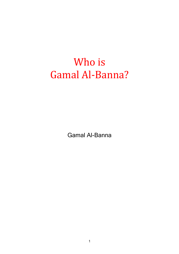# Who is Gamal Al-Banna?

Gamal Al-Banna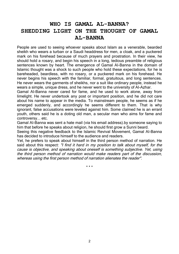## **WHO IS GAMAL AL-BANNA? SHEDDING LIGHT ON THE THOUGHT OF GAMAL AL-BANNA**

People are used to seeing whoever speaks about Islam as a venerable, bearded sheikh who wears a turban or a Saudi headdress for men, a cloak, and a puckered mark on his forehead because of much prayers and prostration. In their view, he should hold a rosary, and begin his speech in a long, tedious preamble of religious sentences known by heart. The emergence of Gamal AI-Banna in the domain of Islamic thought was a shock to such people who hold these expectations, for he is bareheaded, beardless, with no rosary, or a puckered mark on his forehead. He never begins his speech with the familiar, formal, gratuitous, and long sentences. He never wears the garments of sheikhs, nor a suit like ordinary people, instead he wears a simple, unique dress, and he never went to the university of AI-Azhar.

Gamal AI-Banna never cared for fame, and he used to work alone, away from limelight. He never undertook any post or important position, and he did not care about his name to appear in the media. To mainstream people, he seems as if he emerged suddenly, and accordingly he seems different to them. That is why ignorant, false accusations were leveled against him. Some claimed he is an errant youth, others said he is a doting old man, a secular man who aims for fame and controversy... etc.

Gamal AI-Banna was sent a hate mail (via his email address).by someone saying to him that before he speaks about religion, he should first grow a Sunni beard.

Seeing this negative feedback to the Islamic Revival Movement, Gamal AI-Banna has decided to introduce himself to the audience and readers.

Yet, he prefers to speak about himself in the third person method of narration. He said about this respect: *"I find it hard in my position to talk about myself, for the cause is objective, and speaking about oneself is something subjective. Yet, using the third person method of narration would make readers part of the discussion, whereas using the first person method of narration alienates the reader".*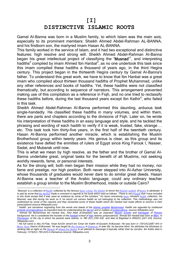### **[I]**

## **DISTINCTIVE ISLAMIC ROOTS**

Gamal AI-Banna was born in a Muslim family, to which Islam was the main axis, especially to its prominent members: Sheikh Ahmed Abdel-Rahman AL-BANNA, and his firstborn son, the martyred imam Hasan AL-BANNA.

This family worked in the service of Islam, and it had two exceptional and distinctive features: high resolve and strong will. Sheikh Ahmed Abdel-Rahman AI-Banna began his great intellectual project of classifying the "**Musnad**" 1 , and interpreting hadiths<sup>2</sup> compiled by imam Ahmed Ibn Hanbal<sup>3</sup>, as no one undertook this task since this imam compiled these hadiths a thousand of years ago, in the third Hegira century. This project began in the thirteenth Hegira century by Gamal AI-Banna's father. To understand this great work, we have to know that Ibn Hanbal was a great imam who compiled about thirteen thousand hadiths of Prophet Muhammad, unlike any other references and books of hadiths. Yet, these hadiths were not classified thematically, but according to sequence of narrators. This arrangement prevented making use of this compilation as a reference in Fiqh, and no one tried to reclassify these hadiths before, during the last thousand years except Ibn Kathir<sup>4</sup>, who failed in this task.

Sheikh Ahmed Abdel-Rahman AI-Banna performed this daunting, arduous task single-handedly. He classified these hadiths in many volumes, and within them, there are parts and chapters according to the divisions of Fiqh. Later on, he wrote his interpretation of these hadiths in an easy language and style, and he tackled the phrasing and wording of each hadith to verify if it is weak, trusted, fake, strange ... etc. This task took him thirty-five years, in the first half of the twentieth century. Hasan AI-Banna performed another miracle, which is establishing the Muslim Brotherhood group within twenty years. His genius is clear, as this group and its existence have defied the enmities of rulers of Egypt since King Farouk I, Nasser, Sadat, and Mubarak until now.

This is what we mean by high resolve, as the father and the brother of Gamal AI-Banna undertake great, original tasks for the benefit of all Muslims, not seeking worldly rewards, fame, or personal interests.

As for the strong will, both men began their mission while they had no money, nor fame and prestige, nor high position. Both never stepped into AI-Azhar University, whose thousands of graduates would never dare to do similar great deeds. Hasan AI-Banna was a teacher of the Arabic language; could any ordinary teacher establish a group similar to the Muslim Brotherhood, inside or outside Cairo?

 $\overline{a}$ <sup>1</sup>*Musnad: is a collection of Hadith collected by the famous Sunni scholar Ibn Hanbal to whom the Hanbali madhab of Sunnis is attributed. It is said by some that <i>Ibn Hanbal* made a comment in regards to his book which read as follows: "There is not a *hadith* that I have included *in this book except that it was used as evidence by some of the scholars." An issue concerning <i>Imam* Ahmad's *hadith* collection, his *Musnad, was that during his work on it, he struck out various hadith as not belonging to his collection. This methodology was not understood by some of the copyists and they reinserted some of these hadith which Ibn Hanbal had made efforts to remove in their transcriptions.(source:Wikipedia.com)*

<sup>2</sup> *Hadith: are narrations originating from the words and deeds of the Islamic prophet Muhammad. Hadith are regarded by traditional*  <u>schools of jurisprudence</u> as important tools for understanding the <u>Qur'an</u> and in matters of <u>jurisprudence</u>. (source Wikipedia.com)<br><sup>3</sup> Ahmad bin Muhammad bin Hanbal Abu `Abd Allah al-Shaybani was an importa

*background. He is considered the founder of the Hanbali school of fiqh (Islamic jurisprudence). Ahmad ibn Hanbal was born at Merv, in Khorassan, of the city in which his parents were natives, in 780 (AC) [164 AH] and died at Baghdad in 855(AC) [241 AH]. (source: Wikipedia.com)*

*<sup>4</sup> His full name is Abu Al-Fida, 'Imad Ad-Din Isma'il bin 'Umar bin Kathir Al-Qurashi Al-Busrawi. He was born in 1301(AC)(687 AH) in Busra, Syria (hence Al-Busrawi). He was taught by Ibn Taymiyya in Damascus In later life, he became blind. He attributes his blindness to working late at night on the Musnad of Ahmad Ibn Hanbal in an attempt to rearrange it topically rather than by narrator. Ibn Kathir died in February 1373(AC) 759 (AH) in Damascus.(source: Wikipedia.com)*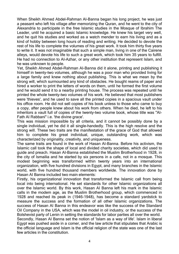When Sheikh Ahmed Abdel-Rahman AI-Banna began his long project, he was just a peasant who left his village after memorizing the Quran, and he went to the city of Alexandria to participate in the free Islamic studies in the Mosque of Ibrahim The Leader, until he acquired a basic Islamic knowledge. He knew his target very well, and he quit his studies and worked as a watch mender to earn his living and as a kind of hobby between long hours of reading and writing. He decided to devote the rest of his life to complete the volumes of his great work. It took him thirty five years to write it. It was not imaginable that such a simple man, living in one of the Cairene alleys, would devote his life to such a great work, which took him 35 years to fulfill. He had no connection to AI-Azhar, or any other institution that represent Islam, and he was unknown to people.

Yet, Sheikh Ahmed Abdel-Rahman AI-Banna did it alone, printing and publishing it himself in twenty-two volumes, although he was a poor man who provided living for a large family and knew nothing about publishing. This is what we mean by the strong will, which surmounted any kind of obstacles. He bought reams of paper and hired a worker to print the letters of words on them, until he formed the first volume and he would send it to a nearby printing house. The process was repeated until he printed the whole twenty-two volumes of his work. He believed that most publishers were 'thieves', and he used to save all the printed copies in a spacious vault under his office room. He did not sell copies of his book unless to those who came to buy a copy, after people knew about his work from others. When he died, he left to his inheritors a vault full of copies of the twenty-two volume book, whose title was "AI-Fath AI Rabbani" i.e. 'the divine grace'.

This was mission impossible by all criteria, and it cannot be possibly done by a single individual, yet he did it all single-handedly. This is the high resolve and the strong will. These two traits are the manifestation of the grace of God that allowed him to complete his great individual, unique, outstanding work, which was characterized by originality, creativity, and uniqueness.

The same traits are found in the work of Hasan AI-Banna. Before his activism, the Islamic call took the shape of local and divided charity societies, which did used to guide and preach. Hasan AI-Banna established the Muslim Brotherhood in 1928, in the city of Ismailia and he started by six persons in a cafe, not in a mosque. This modest beginning was transformed within twenty years into an international organization, with five hundred divisions in Egypt, and many branches in the Islamic world, with five hundred thousand members worldwide. The innovation done by Hasan AI Banna included two main elements:

Firstly, his organizational innovation that transformed the Islamic call from being local into being international. He set standards for other Islamic organizations all over the Islamic world. By this work, Hasan AI Banna left his mark in the Islamic calls in the modem age, as the Muslim Brotherhood group, which commenced in 1928 and reached its peak in (1946-1948), has become a standard yardstick to measure the success and the formation of all other Islamic organizations. The success of Hasan AI Banna in this endeavor was like the success of the Standard Oil Company in the USA, which was the model in oil industry, or the success of the Bolshevist party of Lenin in setting the standards for labor parties all over the world.

Secondly, Hasan AI Banna set the notion of 'Islam as a way of life'. Islam in liberal Egypt was pushed aside in a comer, and the law article that stipulates that Arabic is the official language and Islam is the official religion of the state was one of the last few articles in the constitution.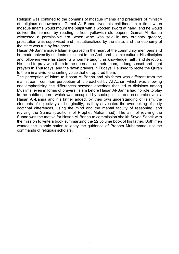Religion was confined to the domains of mosque imams and preachers of ministry of religious endowments. Gamal AI Banna lived his childhood in a time when mosque imams would mount the pulpit with a wooden sword at hand, and he would deliver the sermon by reading it from yellowish old papers. Gamal AI Banna witnessed a permissible era, when wine was sold in any ordinary grocery, prostitution was supervised and institutionalized by the state, and the economy of the state was run by foreigners.

Hasan AI-Banna made Islam engraved in the heart of the community members and he made university students excellent in the Arab and Islamic culture. His disciples and followers were his students whom he taught his knowledge, faith, and devotion. He used to pray with them in the open air, as their imam, in long sunset and night prayers in Thursdays, and the dawn prayers in Fridays. He used to recite the Quran to them in a vivid, enchanting voice that enraptured them.

The perception of Islam to Hasan AI-Banna and his father was different from the mainstream, common perception of it preached by AI-Azhar, which was showing and emphasizing the differences between doctrines that led to divisions among Muslims, even in forms of prayers. Islam before Hasan AI-Banna had no role to play in the public sphere, which was occupied by socio-political and economic events. Hasan AI-Banna and his father added, by their own understanding of Islam, the elements of objectivity and originality, as they advocated the overlooking of petty doctrinal differences, using the mind and the mental faculty of reasoning, and reviving the Sunna (traditions of Prophet Muhammad). The aim of reviving the Sunna was the motive for Hasan Al-Banna to commission sheikh Sayed Sabek with the mission to write a book summarizing the 22 volume book of his father. Both men wanted the Islamic nation to obey the guidance of Prophet Muhammad, not the commands of religious scholars.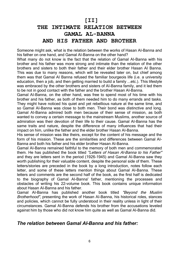# **[II] THE INTIMATE RELATION BETWEEN GAMAL AL-BANNA AND HIS FATHER AND BROTHER**

Someone might ask, what is the relation between the works of Hasan AI-Banna and his father on one hand, and Gamal AI-Banna on the other hand?

What many do not know is the fact that the relation of Gamal AI-Banna with his brother and his father was more strong and intimate than the relation of the other brothers and sisters to both their father and their elder brother Hasan AI Banna. This was due to many reasons, which will be revealed later on, but chief among them was that Gamal AI Banna refused the familiar bourgeois life (i.e. a university education, then a job, and then getting married to build a family ...etc.). This lifestyle was embraced by the other brothers and sisters of AI-Banna family, and it led them to be not in good contact with the father and the brother Hasan AI-Banna.

Gamal AI-Banna, on the other hand, was free to spend most of his time with his brother and his father, as both of them needed him to do many errands and tasks. They might have noticed his quiet and yet rebellious nature at the same time, and so Gamal AI-Banna was close to both men. Their bond was distinctive and long. Gamal AI-Banna admired both men because of their sense of mission, as both wanted to convey a certain message to the mainstream Muslims, another source of admiration was their devotion of their life to their cause. Gamal AI-Banna has the same traits and nature, despite the difference of many influences that had their impact on him, unlike the father and the elder brother Hasan AI-Banna.

His sense of mission was like theirs, except for the content of his message and the form of his mission. These are the similarities and differences between Gamal AI-Banna and both his father and his elder brother Hasan AI-Banna.

Gamal AI-Banna remained faithful to the memory of both men and commemorated them. He has published the book titled *"Letters of Hasan Al-Banna to his Father"*  and they are letters sent in the period (1926-1945) and Gamal AI-Banna saw they worth publishing for their valuable content, despite the personal side of them. These letters/stories are preceded in the book by a long introduction, notes follow each letter, and some of these letters mention things about Gamal AI-Banna. These letters and comments are the second half of the book, as the first half is dedicated to the biography of Gamal AI-Banna' father, mentioning the processes and obstacles of writing his 22-volume book. This book contains unique information about Hasan AI-Banna and his father.

Gamal AI-Banna has published another book titled *"Beyond the Muslim Brotherhood",* presenting the work of Hasan AI-Banna, his historical roles, stances and policies, which cannot be fully understood in their reality unless in light of their circumstances. Gamal AI-Banna defends his brother from the accusations leveled against him by those who did not know him quite as well as Gamal AI-Banna did.

## *The relation between Gamal AI-Banna and his father:*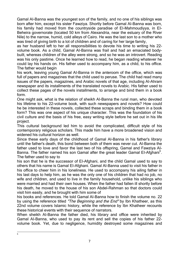Gamal AI-Banna was the youngest son of the family, and no one of his siblings was born after him, except his sister Fawziya. Shortly before Gamal AI-Banna was born, his family had moved from the countryside paradise of EI-Mahmoudiyya, in EI-Beheira governorate (located 50 km from Alexandria, near the estuary of the River Nile) to the narrow, humid, cold alleys of Cairo. He was the last son to a mother who was tired of giving birth to a lot of children and of caring for her large family,

as her husband left to her all responsibilities to devote his time to writing his 22 volume book. As a child, Gamal AI-Banna was frail and had an emaciated bodybuilt, whereas children of the alley were strong, and so he was an introvert. Reading was his only pastime. Once he learned how to read, he began reading whatever he could lay his hands on. His father used to accompany him, as a child, to his office. The father would begin

his work, leaving young Gamal AI-Banna in the anteroom of the office, which was full of papers and magazines that the child used to peruse. The child had read many issues of the papers, magazines, and Arabic novels of that age, including AI-Ahram newspaper and its installments of the translated novels to Arabic. His father used to collect these pages of the novels installments, to arrange and bind them in a book form.

One might ask, what is the relation of sheikh AI-Banna the rural man, who devoted his lifetime to his 22-volume book, with such newspapers and novels? How could he be interested in these novels, collected these scraps and binding them in a book form? This was one aspect of his unique character. This was the foundation of his civil culture and the basis of his free, easy writing style before he set out in his life project.

This cultural background led him to avoid the complicated, difficult style of his contemporary religious scholars. This made him have a more broadened vision and widened his cultural horizon as well.

Since these early days of the childhood of Gamal AI-Banna in his father's library until the father's death, this bond between both of them was never cut. AI-Banna the father used to love and favor the last two of his offspring, Gamal and Fawziya AI-Banna. The father named his son Gamal after the great leader Gamal El-Afghani<sup>5</sup>. The father used to say to

his son that he is the successor of EI-Afghani, and the child Gamal used to say to others that his name is Gamal EI-Afghani. Gamal AI-Banna used to visit his father in his office to cheer him in his loneliness. He used to accompany his ailing father in his last days to help him, as he was the only one of his children that had no job, no wife and children, and used to live in the family household, unlike his siblings who were married and had their own houses. When the father had fallen ill shortly before his death, he moved to the house of his son Abdel-Rahman so that doctors could visit him easily, and he brought with him some of

his books and references. He told Gamal AI-Banna how to finish the volume no. 22 by using the reference titled *"The Beginning and the End"* by Ibn Khatheer, as this 22nd volume covers Islamic history, while the reference by Ibn Khatheer recounts these historical events with their sequence of narrators.

When sheikh AI-Banna the father died, his library and office were inherited by Gamal AI-Banna, who used to pay its rent and sell the copies of his father 22 volume book. Yet, due to negligence, humidity destroyed some magazines and

—<br>5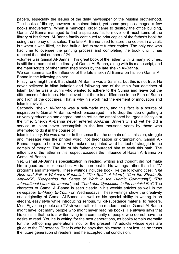papers, especially the issues of the daily newspaper of the Muslim brotherhood. The books of library, however, remained intact, yet some people damaged a few books inadvertently. When a municipal order came to destroy the office building, Gamal AI-Banna managed to find a spacious flat to move to it most items of the library of his father. AI-Banna family continued to print copies of the father's book by using the money of its sales. The late AI-Banna used to store the copies in a vault, but when it was filled, he had built a loft to store further copies. The only one who had time to oversee the printing process and completing the book until it has reached the total number of 24

volumes was Gamal AI-Banna. This great book of the father, with its many volumes, is still the ornament of the library of Gamal AI-Banna, along with its manuscript, and the manuscripts of other unfinished books by the late sheikh AI-Banna.

We can summarize the influence of the late sheikh AI-Banna on his son Gamal AI-Banna in the following points:

Firstly, one might think that sheikh AI-Banna was a Salafist, but this is not true. He never believed in blind imitation and following one of the main four doctrines of Islam, but he was a Sunni who wanted to adhere to the Sunna and leave out the differences of doctrines. He believed that there is a difference in the Fiqh of Sunna and Fiqh of the doctrines. That is why his work had the element of innovation and Islamic revival.

Secondly, sheikh AI-Banna was a self-made man, and this fact is a source of inspiration to Gamal AI-Banna, which encouraged him to drop the idea of getting a university education and degree, and to refuse the established bourgeois lifestyle at the time. Sheikh AI-Banna never entered AI-Azhar University and yet he did a service to Islam never accomplish in the last thousand years by those who attempted to do it in the course of

Islamic history. He was a writer in the sense that the domain of his mission, struggle and message was the printed word, not theorization or organization. Gamal AI-Banna longed to be a writer who makes the printed word his tool of struggle in the domain of thought. The life of his father encouraged him to seek this path. The influence of the father in this respect exceeds the influence of Hasan AI-Banna on Gamal AI-Banna.

Yet, Gamal AI-Banna's specialization in reading, writing and thought did not make him a good orator or preacher. He is seen best in his writings rather than his TV programs and interviews. These writings includes book like the following titles: *"The Rise and Fall of Weimar's Republic", "The Spirit of Islam", "Can the Sharia Be Applied?", "Deepening the Sense of Work in the Islamic Community", "The International Labor Movement",* and *"The Labor Opposition in the Leninist Era".* The character of Gamal AI-Banna is seen clearly in his weekly articles as well in the newspaper *El-Masry El-Youm* on Wednesdays. These writings show the creativity and originality of Gamal AI-Banna, as well as his special ability in writing in an elegant, easy style while introducing serious, full-of-substance material to readers. Most Egyptian people are TV viewers rather than readers, and so Gamal AI-Banna might have lost many people who might never read his books. He always says that his crisis is that he is a writer living in a community of people who do not have the desire to read. Yet, he is writing for the next generations, as books remain eternally for the forthcoming generations, not for the present TV addicts whose eyes are glued to the TV screens. That is why he says that his cause is not lost, as he trusts the future generation of readers, and he accepted that conclusion.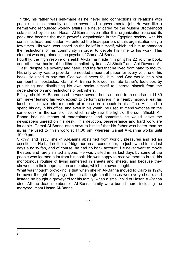Thirdly, his father was self-made as he never had connections or relations with people in his community, and he never had a governmental job. He was like a hermit who renounced worldly affairs. He never cared for the Muslim Brotherhood established by his son Hasan AI-Banna, even after this organization reached its peak and became the most powerful organization in the Egyptian society, with his son as its head and leader. He entered the headquarters of this organization only a few times. His work was based on the belief in himself, which led him to abandon the restrictions of his community in order to devote his time to his work. This element was engrained in the psyche of Gamal AI-Banna.

Fourthly, the high resolve of sheikh AI-Banna made him print his 22 volume book, and other two books of hadiths compiled by imam AI Shafie<sup>6</sup> and Abi Dawood AI-Tilasi<sup>7</sup>, despite his poverty and need, and the fact that he lived from hand to mouth. His only worry was to provide the needed amount of paper for every volume of his book. He used to say that God would never fail him, and God would help him surmount all obstacles. Gamal AI-Banna followed his late father's footsteps by publishing and distributing his own books himself to liberate himself from the dependence on and restrictions of publishers.

Fifthly, sheikh AI-Banna used to work several hours on end from sunrise to 11:30 pm, never leaving his work except to perform prayers in a nearby mosque, eat his lunch, or to have brief moments of repose on a couch in his office. He used to spend his day in his office, and even in his youth, he used to mend watches on the same desk, in the same office, which rarely saw the light of the sun. Sheikh AI-Banna had no means of entertainment, and sometime he would leave the newspapers unread on his desk. This devotion, perseverance and hard work are laudable. Gamal AI-Banna often says to himself that his father was better than he is, as he used to finish work at 11:30 pm, whereas Gamal AI-Banna works until 10:00 pm.

Sixthly, and lastly, sheikh AI-Banna abstained from worldly pleasures and led an ascetic life. He had neither a fridge nor an air conditioner, he just owned in his last days a noisy fan, and of course, he had no bank account. He never went to movie theaters and rarely visited anyone. He was visited in his last days by some of the people who learned a lot from his book. He was happy to receive them to break his monotonous routine of living immersed in sheets and sheets, and because they showed him their appreciation and praise, which he never sought.

What was thought provoking is that when sheikh AI-Banna moved to Cairo in 1924, he never thought of buying a house although small houses were very cheap, and instead he bought a graveyard for his family, when a small child of Hasan AI-Banna died. All the dead members of AI-Banna family were buried there, including the martyred imam Hasan AI-Banna.

 6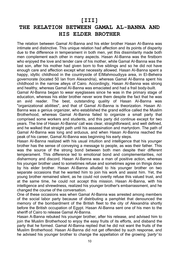## **[III]**

# **THE RELATION BETWEEN GAMAL AL-BANNA AND HIS ELDER BROTHER**

The relation between Gamal AI-Banna and his elder brother Hasan AI-Banna was intimate and distinctive. This unique relation had affection and its points of disparity due to the difference in temperament in both men, yet this dissimilarity made both men complement each other in many aspects. Hasan AI-Banna was the firstborn who enjoyed the love and tender care of his mother, while Gamal AI-Banna was the last son, after his mother had given born to five siblings and so he did not have enough care and affection except what necessity allowed. Hasan AI-Banna spent a happy, idyllic childhood in the countryside of EIMahmoudiyya area, in EI-Beheira governorate (located 50 Ian from Alexandria), whereas Gamal AI-Banna spent his childhood in the narrow alleys of Cairo. Accordingly, Hasan AI-Banna was strong and healthy, whereas Gamal AI-Banna was emaciated and had a frail body-built.

Gamal AI-Banna began to wear eyeglasses since he was in the primary stage of education, whereas his elder brother never wore them despite the fact that he was an avid reader. The best, outstanding quality of Hasan AI-Banna was "organizational abilities", and that of Gamal AI-Banna is theorization. Hasan AI-Banna was a genius organizer, who established the grand edifice called the Muslim Brotherhood, whereas Gamal Al-Banna failed to organize a small party that comprised some workers and students, and this party did continue except for two years. The line of Hasan AI-Banna' call was clear, straightforward, and well defined, and he walked that straight path until his assassination and martyrdom. The path of Gamal AI-Banna was long and arduous, and when Hasan AI-Banna reached the peak of his career, Gamal AI-Banna was beginning his early steps.

Hasan AI-Banna realized with his usual intuition and intelligence that his younger brother has the sense of conveying a message to people, as was their father. This was the source of the strong bond between both men despite their different temperament. This difference led to emotional bond and complementarities, not disharmony and discord. Hasan AI-Banna was a man of positive action, whereas his younger brother used to sometimes refuse and sometimes agree on things done by his elder brother. Hasan AI-Banna alluded to his younger brother on two separate occasions that he wanted him to join his work and assist him. Yet, the young brother remained silent, as he could not overtly refuse this valued trust, and at the same time, he could not accept this mission. Hasan Al-Banna, with his intelligence and shrewdness, realized his younger brother's embarrassment, and he changed the course of the conversation.

One of these occasions was when Gamal AI-Banna was arrested among members of the social labor party because of distributing a pamphlet that denounced the memory of the bombardment of the British fleet to the city of Alexandria shortly before the British occupation of Egypt. Hasan Al-Banna sent one of his men to the sheriff of Cairo to release Gamal Al-Banna.

Hasan A-Banna rebuked his younger brother, after his release, and advised him to join the Muslim Brotherhood to enjoy the easy fruits of its efforts, and disband the party that he formed. Gamal AI-Banna replied that he did not want the fruits of the Muslim Brotherhood. Hasan AI-Banna did not get offended by such response, and he advised his younger brother to change the appellation of the growing *'party'* to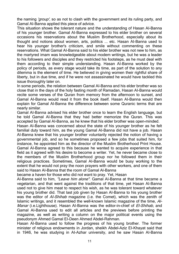the naming *'group',* so as not to clash with the government and its ruling party, and Gamal AI-Banna applied this piece of advice.

This situation shows the tolerant nature and the understanding of Hasan AI-Banna of his younger brother. Gamal AI-Banna expressed to his elder brother on several occasions his reservations about the Muslim Brotherhood, especially about its thought and notions about women, arts, politics ... etc. Hasan AI-Banna used to hear his younger brother's criticism, and smile without commenting on these reservations. What Gamal AI-Banna said to his elder brother was not new to him, as the martyred imam was knowledgeable about modem writings, but he was a leader to his followers and disciples and they restricted his footsteps, as he must deal with them according to their simple understanding. Hasan AI-Banna worked by the policy of periods, as every stage would take its time, as part of the solution to any dilemma is the element of time. He believed in giving women their rightful share of liberty, but in due time, and if he were not assassinated he would have tackled this issue thoroughly later on.

Insome periods, the relation between Gamal AI-Banna and his elder brother was so close that in the days of the holy fasting month of Ramadan, Hasan AI-Banna would recite some verses of the Quran from memory from the afternoon to sunset, and Gamal AI-Banna would read it from the book itself. Hasan AI-Banna would then explain for Gamal Al-Banna the difference between some Quranic terms that are nearly similar.

Gamal AI-Banna advised his elder brother once to learn the English language, but he told Gamal AI-Banna that they had better memorize the Quran. This was accepted by Gamal AI-Banna, as he knew that his elder brother was open-minded.

Hasan AI-Banna was concerned about the state of his younger brother as he felt familial duty toward him, as the young Gamal AI-Banna did not have a job. Hasan AI-Banna knew that his younger brother voluntarily rejected the notion of having a governmental job, and so he sometimes proposed a few jobs that suited him, for instance, he appointed him as the director of the Muslim Brotherhood Print House. Gamal AI-Banna agreed to this because he wanted to acquire experience in that field as it agreed with his desire to become a writer. Yet, he never became close to the members of the Muslim Brotherhood group nor he followed them in their religious practices. Sometimes, Gamal AI-Banna would be busy working to the extent that he would not pray the noon prayers with other workers, and one of them said to Hasan AI-Banna that the room of Gamal Al-Banna

became a haven for those who did not want to pray. Yet, Hasan

AI-Banna said to him, *"Leave him alone".* Gamal AI-Banna at that time became a vegetarian, and that went against the traditions of that time, yet Hasan AI-Banna used not to give him meat to respect his wish, as he was tolerant toward whatever his young brother did. That last job given by Hasan AI-Banna to his young brother was the editor of *Al-Shihab* magazine (i.e. the Comet), which was the zenith of Islamic writings, and it resembled the well-known Islamic magazine of the time, *Al-Manar* (i.e.Lighthouse). Hasan AI-Banna was the editor-in-chief of *El-Shihab,* and Gamal AI-Banna used to edit all articles and the previews before printing the magazine, as well as writing a column on the major political events using the pseudonym Ahmed Gamal EI-Deen Ahmed Abdel-Rahman.

Hasan AI-Banna used to follow the progress of his young brother. The former minister of religious endowments in Jordan, sheikh Abdel-Aziz EI-Khayat said that in 1946, he was studying in AI-Azhar university, and he saw Hasan AI-Banna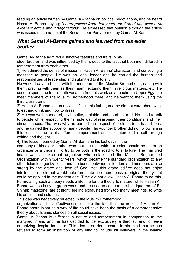reading an article written by Gamal AI-Banna on political negotiations, and he heard Hasan AI-Banna saying; *"Learn politics from that youth, for Garnal has written an excellent article about negotiations".* He expressed that opinion although the article was issued in the name of the Social Labor Party formed by Gamal AI-Banna.

## *What Gamal AI-Banna gained and learned from his elder brother:*

Gamal AI-Banna admired distinctive features and traits in his

elder brother, and was influenced by them, despite the fact that both men differed in temperament from each other.

1) He admired the sense of mission in Hasan AI-Banna' character, and conveying a message to people. He was an ideal leader and he carried the burden and responsibilities of leadership and submitted to it totally.

He worked day and night with the members of the Muslim Brotherhood, eating with them, praying with them as their imam, lecturing them in religious matters...etc. He used to spend the four-month vacation from his work as a teacher in Upper Egypt to meet members of the Muslim Brotherhood there, and he went to them using the third class trains.

2) Hasan AI-Banna led an ascetic life like his father, and he did not care about what to eat and drink and how to dress.

3) He was well mannered, civil, polite, amiable, and good-natured. He used to talk to people while respecting their simple way of reasoning, their conditions, and their circumstances. That was why he earned the respect of both his friends and foes, and he gained the support of many people. His younger brother did not follow him in this respect, due to his different temperament and the nature of his call through writing and thought.

4) The lesson learned by Gamal AI-Banna in his last days in the

company of his elder brother was that the man with a mission should be either an organizer or a theorist. To try to be both is the road to total failure. The martyred imam was an excellent organizer who established the Muslim Brotherhood Organization within twenty years, which became the standard organization to any other Islamic organizations, and the bonds between its leaders and members are so strong by the grace and love of God. Yet, this grand edifice does not enjoy intellectual depth that would help formulate a comprehensive, original theory that could be applied in the modem age. Time did not allow Hasan AI-Banna to do this. Formulating such a theory needs a lifetime for the theory to mature, while Hasan AI-Banna was so busy in group-work, and he used to come to the headquarters of EI-Shihab magazine late at night, feeling exhausted from too many meetings, to write his articles and columns.

This gap was negatively reflected in the Muslim Brotherhood

organization and its effectiveness, despite the fact that the notion of Hasan AI-Banna about Islam as a way of life could have been the basis of a comprehensive theory about Islamic stances on all social issues.

Gamal AI-Banna is different in nature and temperament in comparison to the martyred imam, and he has decided to be exclusively a theorist, and to leave organizing despite its allure. This idea is so deep-seated in his mind that he has refused to form an institution of any kind to include all believers in the Islamic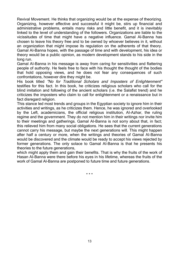Revival Movement. He thinks that organizing would be at the expense of theorizing. Organizing, however effective and successful it might be, stirs up financial and administrative problems, entails many risks and little benefit, and it is inevitably linked to the level of understanding of the followers. Organizations are liable to the vicissitudes of time that might have a negative influence. Gamal Al-Banna has chosen to leave his theory free and to be owned by whoever believes in it, without an organization that might impose its regulation on the adherents of that theory. Gamal AI-Banna hopes, with the passage of time and with development, his idea or theory would be a public opinion, as modern development stands to his side in the long run.

Gamal AI-Banna in his message is away from caring for sensitivities and flattering people of authority. He feels free to face with his thought the thought of the bodies that hold opposing views, and he does not fear any consequences of such confrontations, however dire they might be.

His book titled *"No for Traditional Scholars and Imposters of Enlightenment"*  testifies for this fact. In this book, he criticizes religious scholars who call for the blind imitation and following of the ancient scholars (i.e. the Salafist trend) and he criticizes the imposters who claim to call for enlightenment or a renaissance but in fact disregard religion.

This stance led most trends and groups in the Egyptian society to ignore him in their activities and writings, as he criticizes them. Hence, he was ignored and overlooked by the Left, academicians, the official religious institution, AI-Azhar, the ruling regime and the government. They do not mention him in their writings nor invite him to their meetings and gatherings. Gamal AI-Banna is not sorry about that, in fact; this relieved him from many social obligations. He sees that the current generations cannot carry his message, but maybe the next generations will. This might happen after half a century or more, when the writings and theories of Gamal AI-Banna would be discovered and the climate would be ready to accept his views rejected by former generations. The only solace to Gamal AI-Banna is that he presents his theories to the future generations,

which might apply them and gain their benefits. That is why the fruits of the work of Hasan AI-Banna were there before his eyes in his lifetime, whereas the fruits of the work of Gamal Al-Banna are postponed to future time and future generations.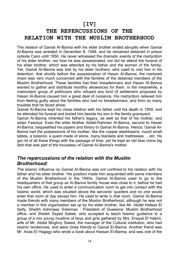## **[IV]**

# **THE REPERCUSSIONS OF THE RELATION WITH THE MUSLIM BROTHERHOOD**

The relation of Gamal AI-Banna with his elder brother ended abruptly when Gamal AI-Banna was arrested in December 8, 1948, and he remained detained in prison outside Cairo until 1950. He never witnessed the dramatic events of the martyrdom of his elder brother, nor how he was assassinated, nor did he attend the funeral of his elder brother, which was attended by his father and the women of the family. Yet, Gamal Al-Banna was told by his elder brothers, who used to visit him in his detention, that shortly before the assassination of Hasan AI-Banna, the martyred imam was very much concerned with the families of the detained members of the Muslim Brotherhood. These families lost their breadwinners and Hasan AI-Banna wanted to gather and distribute monthly allowances for them. In the meanwhile, a malevolent group of politicians who refused any kind of settlement proposed by Hasan Al-Banna caused him a great deal of nuisance. His martyrdom relieved him from feeling guilty about the families who had no breadwinners, and from so many troubles that he faced alone.

Gamal AI-Banna kept his close relation with his father until his death in 1959, and he attended his funeral and buried him beside his son in the family graveyard.

Gamal AI-Banna inherited his father's legacy, as well as that of his mother, and sister Fawziya. Even the elder brother Abdel-Rahman Al-Banna, second to Hasan AI-Banna, bequeathed his papers and library to Gamal AI-Banna. Hence, Gamal AI-Banna had the possessions of his mother, like the copper washbasins, round small tables, a balance, a quem made of stone, many blankets and mattresses ... etc. He got rid of all these things with the passage of time, yet he kept an old blue china big dish that was part of the trousseau of Gamal AI-Banna's mother.

## *The repercussions of the relation with the Muslim Brotherhood:*

The Islamic influence on Gamal AI-Banna was not confined to his relation with his father and his elder brother. His position made him acquainted with some members of the Muslim Brotherhood in the 1940s. Gamal AI-Banna used to go to the headquarters of that group as AI-Banna family house was close to it, before he had his own office. He used to enter a communication room to get into contact with the Islamic world, which was situated above the servants' quarters and no one would enter that room at day except him. He used to write in that room. Gamal AI-Banna made friends with many members of the Muslim Brotherhood, although he was not a member in this organization set up by his elder brother, like Mr. Abdel Hafeez El Seify, Sheikh Ashmawy Soleiman – President of Quwesna' Muslim Brotherhood office, and Sheikh Sayed Sabek, who accepted to teach Islamic guidance to a group of a mix young muslims of boys and girls gathered by Mrs. Enayat El Hakim, wife of Mr. Abdel Moghny Saeed, the manager of the Cultural institution, who had Islamic tendencies, and were close friends to Gamal El-Banna. Another friend was Mr. Anas El Hagagy who wrote a book about Hassan El-Banna, and was one of the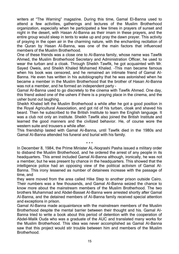writers at "The Warning" magazine. During this time, Gamal El-Banna used to attend a few activities, gatherings and lectures of the Muslim Brotherhood organization, especially when he participated a few times in prayers of sunset and night in the desert, with Hasan AI-Banna as their imam in these prayers, and the entire group would sleep in tents to wake up and pray the dawn prayer. This activity of praying in the open air in the charming nature, with the enchanting recitation of the Quran by Hasan AI-Banna, was one of the main factors that influenced members of the Muslim Brotherhood.

One of these friends was a close one to Al-Banna family, whose name was Tawfik Ahmed, the Muslim Brotherhood Secretary and Administration Officer, he used to wear the turban and a cloak. Through Sheikh Tawfik, he got acquainted with Mr. Sayed Oweis, and Sheikh Khaled Mohamed Khaled. –This man became famous when his book was censored, and he remained an intimate friend of Gamal AI-Banna. He even has written in his autobiography that he was astonished when he became a member in the Muslim Brotherhood that the brother of Hasan AI-Banna was not a member, and he formed an independent party –

Gamal AI-Banna used to go discretely to the cinema with Tawfik Ahmed. One day, this friend asked one of the ushers if there is a praying place in the cinema, and the usher burst out laughing.

Sheikh Khaled left the Muslim Brotherhood a while after he got a good position in the Royal Agricultural Association, and got rid of his turban, cloak and shaved his beard. Then he subscribed to the British Institute to learn the English language. It was a club not only an institute. Sheikh Tawfik also joined the British Institute and learned the good manners and the civilized behavior. He, of course wore the western suite and trousers a while after.

This friendship lasted with Gamal AI-Banna, until Tawfik died in the 1980s and Gamal AI-Banna attended his funeral and burial with his family.

\* \* \*

In December 8, 1984, the Prime Minister AL-Noqrashi Pasha issued a military order to disband the Muslim Brotherhood, and he ordered the arrest of any people in its headquarters. This arrest included Gamal Al-Banna although, ironically, he was not a member, but he was present by chance in the headquarters. This showed that the intelligence police had an opposing view of the political activism of Gamal AI-Banna. This irony lessened as number of detainees increase with the passage of time, and

they were moved from the area called Hike Step to another prison outside Cairo. Their numbers was a few thousands, and Gamal AI-Banna seized the chance to know more about the mainstream members of the Muslim Brotherhood. The two brothers Muhammad and Abdel-Basset AI-Banna were arrested shortly after Gamal AI-Banna, and the detained members of AI-Banna family received special attention and exceptions in prison.

Gamal AI-Banna made acquaintance with the mainstream members of the Muslim Brotherhood despite the mental barrier between their thought and his. Gamal AI-Banna tried to write a book about this period of detention with the cooperation of Abdel-Malik Ouda who was a graduate of the AUC and translated many works for the Muslim Brotherhood. This idea was never accomplished as Gamal AI-Banna saw that this project would stir trouble between him and members of the Muslim **Brotherhood**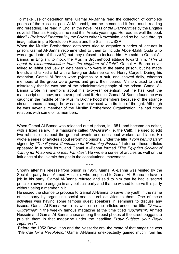To make use of detention time, Gamal AI-Banna read the collection of complete poems of the classical poet AI-Mutanabi, and he memorized it from much reading and rereading. He read in English the novel *Tess of the D'Urbervilles* by the English novelist Thomas Hardy, as he read it in Arabic years ago. He read as well the book titled" *I Preferred Freedom"* by the Soviet writer Kravchinko, and so he lived through imagination in pre-Revolution Russia and the Stalinist USSR.

When the Muslim Brotherhood detainees tried to organize a series of lectures in prison, Gamal AI-Banna recommended to them to include Abdel-Malik Ouda who was a graduate of the *AUC,* but they refused to include him. He said to Gamal AI-Banna, in English, to mock the Muslim Brotherhood attitude toward him, "*This is equal to excommunication from the kingdom of Allah!".* Gamal AI-Banna never talked to leftist and Jewish detainees who were in the same prison, but he made friends and talked a lot with a foreigner detainee called Henry Coryell. During his detention, Gamal AI-Banna wore pyjamas or a suit, and shaved daily, whereas members of the group wore gowns and grew their beards. Visitors used to think mistakenly that he was one of the administrative people of the prison. Gamal AI-Banna wrote his memoirs about his two-year detention, but he has kept the manuscript until now, and never published it. Hence, Gamal AI-Banna found he was caught in the middle of the Muslim Brotherhood members because of the strange circumstances although he was never convinced with its line of thought. Although he was never a member of the Muslim Brotherhood Organization, he had close relations with some of its members.

When Gamal AI-Banna was released out of prison, in 1951, and became an editor, with a fixed salary, in a magazine called *"Al-Da'wa"* (i.e. the Call). He used to edit two rubrics, one about the general events and one about workers and labor. He wrote a series of articles about reforming prisons, under the title *"From behind Bars"*  signed by *"The Popular Committee for Reforming Prisons".* Later on, these articles appeared in a book form, and Gamal AI-Banna formed *"The Egyptian Society of Caring for Prisoners and their Families".* He wrote a series of articles as well on the influence of the Islamic thought in the constitutional movement.

\* \* \*

Shortly after his release from prison in 1951, Gamal Al-Banna was visited by the Socialist party head Ahmed Hussein, who proposed to Gamal Al- Banna to have a job in his party. Gamal Al-Banna refused and said to him that he had a sacred principle never to engage in any political party and that he wished to serve this party without being a member in it.

\* \* \*

He seized the chance to propose to Gamal Al-Banna to serve the youth in the name of this party by organizing social and cultural activities to them. One of these activities was having some famous guest speakers in seminars to discuss any issues. Gamal Al-Banna wrote as well on some articles under the title *"Quranic Guidelines"* in the weekly famous magazine at the time titled *"Socialism".* Ahmed Hussein and Gamal Al-Banna chose among the best photos of the street beggars to publish them in that magazine under the headline *"Your Subject, your Royal Highness!".*

Before the 1952 Revolution and the Nasserist era, the motto of that magazine was *"We Call for a Revolution!"* Gamal Al-Banna unexpectedly gained much from his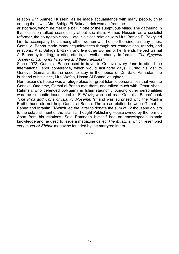relation with Ahmed Hussein, as he made acquaintance with many people, chief among them was Mrs. Bahiga El-Bakry, a rich woman from the

aristocracy, whom he met in a ball in one of the sumptuous villas. The gathering in that occasion talked ceaselessly about socialism, Ahmed Hussein as a socialist reformer, the bourgeois class ... etc. his close relation with Mrs. Bahiga El-Bakry led him to accompany her, among other women with her, to the cinema many times. Gamal Al-Banna made many acquaintances through her connections, friends, and relations. Mrs. Bahiga El-Bakry and five other women of her friends helped Gamal Al-Banna by funding, exerting efforts, as well as charity, in forming *"The Egyptian Society of Caring for Prisoners and their Famities".*

Since 1978, Gamal al-Banna used to travel to Geneva every June to attend the international labor conference, which would last forty days. During his visit to Geneva, Gamal al-Banna used to stay in the house of Dr. Said Ramadan the husband of his niece, Mrs. Wafaa, Hasan Al-Banna' daughter.

Her husband's house was a refuge place for great Islamic personalities that went to Geneva. One time, Gamal al-Banna met there, and talked much with, Omar Abdel-Rahman, who defended polygamy in Islam staunchly. Among other personalities was the Yemenite leader Ibrahim El-Wazir, who had read Gamal al-Banna' book *"The Pros and Cons of Islamic Movements"* and was surprised why the Muslim Brotherhood did not help Gamal al-Banna. The close relation between Gamal al-Banna and Ibrahim El-Wazir led the latter to donate the sum of 12 thousand dollars to the establishment of the Islamic Thought Publishing House owned by the former. Apart from his relations, Said Ramadan himself had an encyclopedic Islamic knowledge and he used to issue a magazine called *The Muslims,* which resembled very much *Al-Shihab* magazine founded by the martyred imam.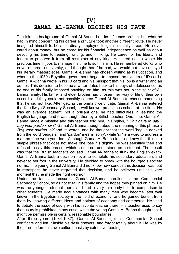#### **[V]**

## **GAMAL AL-BANNA DECIDES HIS FATE**

The Islamic background of Gamal AI-Banna had its influence on him, but what he had in mind concerning his career and future took another different route. He never imagined himself to be an ordinary employee to gain his daily bread. He never cared about money, but he cared for his financial independence as well as about devoting his time to reading, writing, and thinking. He cared for his liberty and fought to preserve it from all restraints of any kind. He cared not to waste his precious time in jobs to manage his time to suit his aim. He remembered Gorky who never entered a university, and thought that if he had, we would not have enjoyed his literary masterpieces. Gamal AI-Banna has chosen writing as his vocation, and when in the 1950s Egyptian government began to impose the system of ID cards, Gamal AI-Banna wrote in his ID card and his passport that his job is a writer and an author. This decision to become a writer dates back to his days of adolescence, as no one of his family imposed anything on him, as this was not in the spirit of AI-Banna family. His father and elder brother had chosen their way of life of their own accord, and they could not possibly coerce Gamal AI-Banna to choose something that he did not like. After getting the primary certificate, Gamal AI-Banna entered the Khediwiya Secondary School, a well-known, prestigious school at the time. He was an average student, not a brilliant one, he had difficulties in learning the English language, and it was taught then by a British teacher. One time, Gamal AI-Banna made a mistake and this teacher told him, in English, " *You have to say 'I beg your pardon, sir'!".* Gamal AI-Banna thought about the meaning of this phrase *'I Beg your pardon, sir'* and its words, and he thought that the word 'beg' is derived from the word 'beggars', and 'pardon' means 'sorry', while 'sir' is a word to address a man as if he were your lord. Although Gamal AI-Banna later on knew that this is a simple phrase that does not make one lose his dignity, he was sensitive then and refused to say this phrase, which he did not understand as a student. The result was that the British teacher's caused Gamal AI-Banna to flunk the English exam. Gamal AI-Banna took a decision never to complete his secondary education, and never to set foot in the university. He decided to break with the bourgeois society norms. The young Gamal AI-Banna did not know how serious this decision was, but in retrospect, he never regretted that decision, and he believes until this very moment that he made the right decision.

Under the familial pressures, Gamal AI-Banna enrolled in the Commercial Secondary School, so as not to fail his family and the hopes they pinned on him. He was the youngest student there, and had a very thin body-built in comparison to other students. He made acquaintances with many men who became later well known in the Egyptian society in the field of economy, and he gained benefit from them by knowing different ideas and notions of economy and commerce. He used to debate the issue of usury with his favorite teacher there. His teacher used to say that usury is prohibited in any case, while the young Gamal AI-Banna thought that it might be permissible in certain, reasonable boundaries.

After three years (1934-1937), Gamal AI-Banna got his Commercial School certificate and left it inside his desk drawers, and forgot totally about it. He was by then free to form his own cultural basis by extensive readings.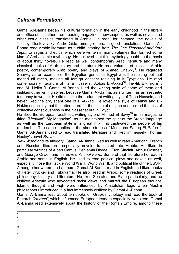## *Cultural Formation:*

Gamal AI-Banna began his cultural formation in the early childhood in the library and office of his father, from reading magazines, newspapers, as well as novels and other world classics translated in Arabic. He read, for instance, the novels of Tolstoy, Dostoyevsky, Andre Gide, among others, in good translations. Gamal AI-Banna read Arabic literature as a child, starting from *The One Thousand and One Night,* to sagas and epics, which were written in many volumes that formed some kind of Arab/Islamic mythology. He believed that this mythology could be the basis of about thirty novels. He read as well contemporary Arab literature and many classical books of Arab history and literature. He read volumes of classical Arabic poetry, contemporary Arab poetry and plays of Ahmed Shawky<sup>8</sup>. He regarded Shawky as an example of the Egyptian genius,as Egypt was the melting pot that melted all races, making all foreign descent residing in it Egyptians. He read contemporary literature of Taha Hussein<sup>9</sup>, Abbas El-Akkad<sup>10</sup>, Tewfik El-Hakim<sup>11</sup>, and M. Heika<sup>12</sup>l. Gamal Al-Banna liked the writing style of some of them and disliked other writing styles, because Gamal AI-Banna, as a writer, has an aesthetic tendency to writing. He did not like the redundant writing style of Taha Hussein, and never liked the dry, scant one of EI-Akkad. He loved the style of Heikal and EI-Hakim especially that the latter cared for the issue of religion and tackled the loss of collective consciousness in the Nasserist era in Egypt.

He liked the European aesthetic writing style of Ahmed EI-Sawy<sup>13</sup> in his magazine titled *"Megalliti"* (My Magazine), as he maintained the spirit of the Arabic language as well as the European style in a great mix that captivated the people of his readership. The same applies in the short stories of Mustapha Sadeq El-Rafee<sup>14</sup>. Gamal AI-Banna used to read translated literature and liked immensely Thomas Huxley's novel *Brave*

*New World* and its allegory. Gamal AI-Banna liked as well to read American, French and Russian literature, especially novels, translated into Arabic. He liked in particular writings of Albert Camus, Benjamin Disraeli, Eton Sinclair, Arthur Costner, and George Orwell and his novels *Animal Farm*. Some of that literature he read in Arabic and some in English. He liked to read political plays and novels as well, especially those that tackle World War I, World War II, and political life of the USSR. Among other writers and authors, Gamal AI-Banna read in English and liked books of Peter Drucker and Fukuyama. He also read in Arabic some readings of Greek philosophy, history and literature. He liked Socrates and Plato particularly, and he disliked Aristotle who advocated racist views and marred the European thought. Islamic thought and Fiqh were influenced by Aristotelian logic when Muslim philosophers introduced it, a fact immensely disliked by Gama! Al-Banna.

Gamal AI-Banna read about ten books on Greek mythology and read the book of Plutarch *"Heroes",* which influenced European leaders especially Napoleon. Gamal AI-Banna read extensively about the history of the Roman Empire, among these

- 10 11
- $12$
- 13
- 14

 $\frac{1}{8}$ 

<sup>9</sup>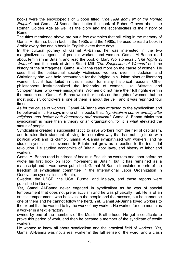books were the encyclopedia of Gibbon titled *"The Rise and Fall of the Roman Empire",* but Gamal AI-Banna liked better the book of Robert Graves about the Roman Golden Age as well as the glory and the eccentricities of the history of Rome.

The titles mentioned above are but a few examples that still cling in the memory of Gamal AI-Banna, but in fact, in the 1950s and the 1960s, he used to read a book in Arabic every day and a book in English every three days.

In the cultural journey of Gamal AI-Banna, he was interested in the two marginalized categories of people: workers and women. Gamal AI-Banna read about feminism in Britain, and read the book of Mary Wollstonecraft *"The Rights of Women"* and the book of John Stuart Mill *"The Subjection of Women"* and the history of the suffragettes. Gamal AI-Banna read more on the cause of women. He sees that the patriarchal society victimized women, even in Judaism and Christianity she was held accountable for the 'original sin'. Islam aims at liberating women, but it has failed in this mission for many historical reasons. Other philosophers institutionalized the inferiority of women, like Aristotle and Schopenhauer, who were misogynists. Women did not have their full rights even in the modem era. Gamal AI-Banna wrote four books on the rights of women, but the most popular, controversial one of them is about the veil, and it was reprinted four times.

As for the cause of workers, Gamal AI-Banna was attracted to the syndicalism and he believed in it. He says in one of his books that, *"syndicalism comes directly after religions, and before both democracy and socialism".* Gamal AI-Banna thinks that syndicalism is more than a theory or an organization, for it is what elevated the status of people.

Syndicalism created a successful tactic to save workers from the hell of capitalism, and to raise their standard of living, in a creative way that has nothing to do with political work and its clamor. Gamal AI-Banna sympathized with workers, and he studied syndicalism movement in Britain that grew as a reaction to the industrial revolution. He studied economics of Britain, labor laws, and history of labor and workers.

Gamal AI-Banna read hundreds of books in English on workers and labor before he wrote his first book on labor movement in Britain, but it has remained as a manuscript and it was never published. Gamal AI-Banna translated reports of the freedom of syndicalism committee in the International Labor Organization in Geneva, on syndicalism in Britain,

Sweden, the USSR, the USA, Burma, and Malaya, and these reports were published in Geneva.

Yet, Gamal AI-Banna never engaged in syndicalism as he was of special temperament that does not prefer activism and he was physically frail. He is of an artistic temperament, who believes in the people and the masses, but he cannot be one of them and he cannot follow the herd. Yet, Gamal AI-Banna loved workers to the extent that he wanted to try the work of any worker. He worked for one month as a worker in a textile factory

owned by one of the members of the Muslim Brotherhood. He got a certificate to prove this period of work, and then he became a member of the syndicate of textile workers.

He wanted to know all about syndicalism and the practical field of workers. Yet, Gamal AI-Banna was not a real worker in the full sense of the word, and a clash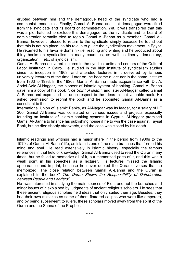erupted between him and the demagogue head of the syndicate who had a communist tendencies. Finally, Gamal AI-Banna and that demagogue were fired from the syndicate and its board of administration. Yet, it was transpired that this was a plot hatched to exclude this demagogue, as the syndicate and its board of administration formally tried to regain Gamal AI-Banna as a member. Gamal AI-Banna, however, refused to return to the syndicate simply because he found out that this is not his place, as his role is to guide the syndicalism movement in Egypt. He returned to his favorite domain - i.e. reading and writing and he produced about thirty books on syndicalism in many countries, as well as liberty, democracy, organization ... etc. of syndicalism.

Gamal AI-Banna delivered lectures in the syndical units and centers of the Cultural Labor Institution in Cairo. He studied in the high institute of syndicalism studies since its inception in 1963, and attended lectures in it delivered by famous university lecturers of the time. Later on, he became a lecturer in the same institute from 1963 to 1993. In the 1980s, Gamal Al-Banna made acquaintance with Dr. A. Abdel-Aziz Al-Naggar, the pioneer of Islamic system of banking. Gamal Al-Banna gave him a copy of his book *"The Spirit of Islam",* and later Al-Naggar called Gamal Al-Banna and expressed his deep respect to the ideas in that valuable book. He asked permission to reprint the book and he appointed Gamal Al-Banna as a consultant to the

International Union of Islamic Banks, as Al-Naggar was its leader, for a salary of LE 200. Gamal Al-Banna was consulted on various issues and projects especially founding an institute of Islamic banking systems in Cyprus. Al-Naggar promised Gamal Al-Banna to finance his publishing house if he to win the case against Faysal Bank, but he died shortly afterwards, and the case was closed by his death.

\* \* \*

Islamic readings and writings had a major share in the period from 1930s to the 1970s of Gamal Al-Banna' life, as Islam is one of the main branches that formed his mind and soul. He read extensively in Islamic history, especially the famous references in that field of knowledge. Gamal Al-Banna used to read the Quran many times, but he failed to memorize all of it, but memorized parts of it, and this was a weak point in his speeches as a lecturer. His lectures missed the Islamic appearance and imprint, because he never quoted the Quranic verses that he memorized. The close relation between Gamal Al-Banna and the Quran is explained in the book" *The Quran Shows the Responsibility of Deterioration between People and Leaders".*

He was interested in studying the main sources of Fiqh, and not the branches and minor issues of it explained by judgments of ancient religious scholars. He sees that these ancient religious scholars held ideas that only suited their age. Besides, they had their own mistakes as some of them flattered caliphs who were like emperors, and by being subservient to rulers, these scholars moved away from the spirit of the Quran and the Sunna of the Prophet.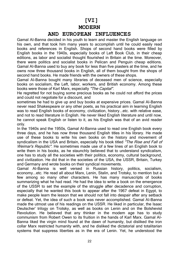# **[VI]**

#### **MODERN**

#### **AND EUROPEAN INFLUENCES**

Gamal AI-Banna decided in his youth to learn and master the English language on his own, and that took him many years to accomplish until he could easily read books and references in English. Shops of second hand books were filled by English books in the 1940s, especially books of Left Book Club, in their cheap editions, as labor and socialist thought flourished in Britain at the time. Moreover, there were politics and socialist books in Pelican and Penguin cheap editions. Gamal AI-Banna used to buy any book for less than five piasters at the time, and he owns now three thousand books in English, all of them bought from the shops of second hand books. He made friends with the owners of these shops.

Gamal AI-Banna bought many libraries of deceased men of science, especially books on socialism, the Left, labor, workers, and British economy. Among these books were those of Karl Marx, especially *"The Capital".*

He regretted for not buying some precious books as he could not afford the prices and could not negotiate for a discount, and

sometimes he had to give up and buy books at expensive prices. Gamal AI-Banna never read Shakespeare or any other poets, as his practical aim in learning English was to read English books of economy, civilization, history...etc. with relative ease, and not to read literature in English. He never liked English literature and until now, he cannot speak English or listen to it, as his English was that of an avid reader only.

In the 1940s and the 1950s, Gamal AI-Banna used to read one English book every three days, and he has now three thousand English titles in his library. He made use of these books to write his own books on the history and movement of syndicalism in the USA and Britain, especially his book titled *"The Rise and Fall of Weimar's Republic".* He sometimes made use of a few lines of an English book to write them in his books, as he staunchly believed that to understand syndicalism, one has to study all the societies with their politics, economy, cultural background, and civilization. He did that in the societies of the USA, the USSR, Britain, Turkey and Germany and wrote books on their syndical movements.

Gamal AI-Banna is well versed in Russian history, politics, socialism, economy...etc. He read all about Marx, Lenin, Stalin, and Trotsky, to mention but a few among so many other characters. He has many manuscripts of books summarizing what he had read. He had the idea to write a book on the emergence of the USSR to set the example of the struggle after decadence and corruption, especially that he wanted this book to appear after the 1967 defeat in Egypt, to make people learn the lesson that we should not fall into despair after any setback or defeat. Yet, the idea of such a book was never accomplished. Gamal AI-Banna made the utmost use of his readings on the USSR. He liked in particular, the Isaac Deutscher' trilogy on Trotsky, as well as books on Lenin and on the Bolshevist Revolution. He believed that any thinker in the modem age has to study communism from Robert Owen to its fruition in the hands of Karl Marx. Gamal AI-Banna liked the virgin mind found at the dawn of humanity, but disliked the iron collar Marx restricted humanity with, and he disliked the dictatorial and totalitarian systems that suppress liberties as in the era of Lenin. Yet, he understood the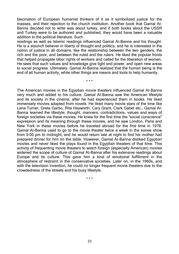fascination of European humanist thinkers of it as it symbolized justice for the masses, and their rejection to the church institution. Another book that Gamal AI-Banna decided not to write was about turkey, and if both books about the USSR and Turkey were to be authored and published, they would have been a valuable addition to the political literature. Such

readings as well as Islamic readings influenced Gamal AI-Banna and his thought. He is a staunch believer in liberty of thought and politics, and he is interested in the notion of justice in all domains, like the relationship between the two genders, the rich and the poor, and between the ruled and the rulers. He liked the popular fronts that helped propagate labor rights of workers and called for the liberation of women. He sees that such values and knowledge give light and power, and open new areas to social progress. Ultimately, Gamal AI-Banna realized that the human being is the end of all human activity, while other things are means and tools to help humanity.

\* \* \*

The American movies in the Egyptian movie theaters influenced Gamal AI-Banna very much and added to his culture. Gamal AI-Banna saw the American lifestyle and its society in the cinema, after he had experienced them in books. He liked immensely movies adapted from novels. He liked many movie stars of the time like Lana Turner, Greta Garbo, Rita Hayworth, Cary Grant, Clark Gabel etc… Gamal AI-Banna learned the lifestyle, thought, manners, contradictions, values and ways of foreign societies via these movies. He knew for the first time the "social conscience" expression and its meaning through these movies, and he saw London, Paris and New York in these movies before he traveled abroad for the first time in 1978. Gamal AI-Banna used to go to the movie theater twice a week in the soiree show from 9:00 pm to midnight, and he would return late at night to find his mother had prepared dinner for him on the table. However, Gamal AI-Banna disliked Egyptian movies and never liked the plays found in the Egyptian theaters of that time. This activity of frequenting movie theaters to watch foreign (especially American) movies widened the scope of culture of Gamal AI-Banna after his extensive readings about Europe and its culture. This gave him a kind of emotional fulfillment in the atmosphere of restraint in the conservative societies. Later on, in the 1960s, and with the television invention, he could no longer frequent movie theaters due to the crowdedness of the streets and his busy lifestyle.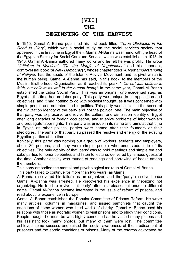### **[VII]**

#### **THE**

#### **BEGINNING OF THE HARVEST**

In 1945, Gamal AI-Banna published his first book titled *"Three Obstacles in the Road to Glory",* which was a social study on the social services society that appeared in the first time in Egypt then. Gamal Al-Banna was friend with the head of the Egyptian Society for Social Care and Service, which was established in 1945. In 1946, Gamal AI-Banna authored many works and he felt he was prolific. He wrote *"Criticism to Marxism", "On the Margin of Negotiations"* and his important, controversial book *"A New Democracy",* whose chapter titled *'A New Understanding of Religion'* has the seeds of the Islamic Revival Movement, and its pivot which is the human being. Gamal AI-Banna has said, in this book, to the members of the Muslim Brotherhood Organization as it reached its peak, " *Do not just believe in*  faith, but believe as well in the human being". In the same year, Gamal Al-Banna established the Labor Social Party. This was an original, unprecedented step, as Egypt at the time had no labor party. This party was unique in its appellation and objectives, and it had nothing to do with socialist thought, as it was concerned with simple people and not interested in politics. This party was 'social' in the sense of the civilization identity of the party and not the political one. The main objective of that party was to preserve and revive the cultural and civilization identity of Egypt after long decades of foreign occupation, and to solve problems of labor workers and propagate labor rights. This party was unique in its name and aims at that time in Egypt, as other political parties were named after their founders or their ideologies. The aims of that party surpassed the resolve and energy of the existing Egyptian parties at the time.

Ironically, this 'party' was nothing but a group of workers, students and employers, about 30 persons, and they were simple people who understood little of its objectives. The only activity of that 'party' was to hold meetings and simple tea and cake parties to honor celebrities and listen to lectures delivered by famous guests at the time. Another activity was rounds of readings and borrowing of books among the members.

This party embodied the mental and psychological makeup of Gamal Al-Banna.

This party failed to continue for more than two years, as Gamal

AI-Banna discovered his failure as an organizer, and the 'party' dissolved once Gamal AI-Banna was arrested. He discovered his excellence in theorizing not organizing. He tried to revive that 'party' after his release but under a different name. Gamal AI-Banna became interested in the issue of reform of prisons, and read about its experience in Europe.

Gamal AI-Banna established the Popular Committee of Prisons Reform. He wrote many articles, columns in magazines, and issued pamphlets that caught the attentions of some women who liked works of charity. Gamal AI-Banna used his relations with those aristocratic women to visit prisons and to study their conditions. People thought he must be was highly connected as he visited many prisons and his assistant took many photos, but many of them were lost. The committee achieved some success and raised the social awareness of the predicament of prisoners and the sordid conditions of prisons. Many of the reforms advocated by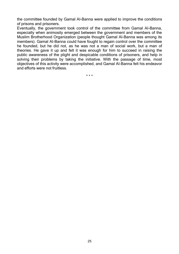the committee founded by Gamal AI-Banna were applied to improve the conditions of prisons and prisoners.

Eventually, the government took control of the committee from Gamal AI-Banna, especially when animosity emerged between the government and members of the Muslim Brotherhood Organization (people thought Gamal AI-Banna was among its members). Gamal AI-Banna could have fought to regain control over the committee he founded, but he did not, as he was not a man of social work, but a man of theories. He gave it up and felt it was enough for him to succeed in raising the public awareness of the plight and despicable conditions of prisoners, and help in solving their problems by taking the initiative. With the passage of time, most objectives of this activity were accomplished, and Gamal AI-Banna felt his endeavor and efforts were not fruitless.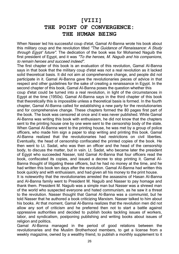## **[VIII] THE POINT OF CONVERGENCE: THE HUMAN BEING**

When Nasser led his successful coup d'etat, Gamal AI-Banna wrote his book about this military coup and the revolution titled *"The Guidance of Renaissance: A Study through Egypt' future".* The dedication of the book was for Mohamed Naguib the first president of Egypt, and it was *"To the heroes, M. Naguib and his companions, to remain heroes and succeed indeed".* 

The first chapter of this book is an evaluation of this revolution, Gamal Al-Banna says in that book that the military coup d'etat was not a real revolution as it lacked solid theoretical basis. It did not aim at comprehensive change, and people did not participate in it. Gamal Al-Banna gave the revolutionaries pieces of advice in that respect and other guidelines for the sake of creating a renaissance in Egypt. In the second chapter of this book, Gamal AI-Banna poses the question whether this

coup d'etat could be turned into a real revolution, in light of the circumstances in Egypt at the time (1950s). Gamal AI-Banna says in the third chapter of this book that theoretically this is impossible unless a theoretical basis is formed. In the fourth chapter, Gamal AI-Banna called for establishing a new party for the revolutionaries and for comprehensive change. These chapters formed the 80 pages first part of the book. The book was censored at once and it was never published. While Gamal Al-Banna was writing this book with enthusiasm, he did not know that the chapters sent to the printing house one by one were sent to the censorship body of the state. When Gamal AI-Banna went to the printing house, he was met by a group of police officers, who made him sign a paper to stop writing and printing this book. Gamal AI-Banna realized that the revolutionaries had restrictions on civil liberties. Eventually, the head of censorship confiscated the printed copies of the book. He then went to Lt. Sadat, who was then an officer and the head of the censorship body, to discuss the matter, but in vain. Lt. Sadat, who became later the president of Egypt who succeeded Nasser, told Gamal AI-Banna that four officers read the book, confiscated its copies, and issued a decree to stop printing it. Gamal AI-Banna thought of litigating these officers, but he had no money at the time, and he had written this book ten days after the revolution. Gamal AI-Banna had written this book quickly and with enthusiasm, and had given all his money to the print house.

It is noteworthy that the revolutionaries arrested the assassins of Hasan AI-Banna and AI-Banna family went to President M. Naguib and Nasser to pay homage and thank them. President M. Naguib was a simple man but Nasser was a shrewd man of the world who suspected everyone and hated communism, as he saw it a threat to the revolution. Nasser thought that Gamal AI-Banna was a communist, but he told Nasser that he authored a book criticizing Marxism. Nasser talked to him about his books. At that moment, Gamal Al-Banna realizes that the revolution men did not allow any sort of criticism and he preferred then not to start a battle against oppressive authorities and decided to publish books tackling issues of workers, labor, and syndicalism, postponing publishing and writing books about issues of religion and politics.

Gamal AI-Banna managed in the period of good relations between the revolutionaries and the Muslim Brotherhood members, to get a license from a weekly magazine, owned by a wealthy friend, to publish a monthly supplement to it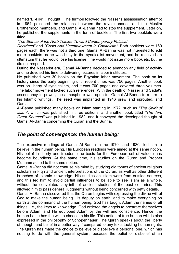named 'EI-Fikr' (Thought). The turmoil followed the Nasser's assassination attempt in 1954 poisoned the relations between the revolutionaries and the Muslim Brotherhood members, and Gamal AI-Banna had to stop the supplement. Later on, he published the supplements in the form of booklets. The first two booklets were titled

*"The Stance of the Arab Thinker Toward Contemporary Political*

*Doctrines"* and *"Crisis And Unemployment in Capitalism".* Both booklets were 160 pages each, there was not a third one. Gamal AI-Banna was not interested to edit more booklets as he was busy in the syndicalist movement, and he received an ultimatum that he would lose his license if he would not issue more booklets, but he did not respond.

During the Nasserist era, Gamal AI-Banna decided to abandon any field of activity and he devoted his time to delivering lectures in labor institutes.

He published over 30 books on the Egyptian labor movement. The book on its history since the early beginning until recent times was 750 pages. Another book was on liberty of syndicalism, and it was 700 pages and covered three volumes. The labor movement lacked such references. With the death of Nasser and Sadat's ascendancy to power, the atmosphere was open for Gamal AI-Banna to return to his Islamic writings. The seed was implanted in 1946 grew and sprouted, and Gamal

AI-Banna published many books on Islam starting in 1972, such as *"The Spirit of Islam",* which was published in three editions, and another book titled *"The Two Great Sources"* was published in 1982, and it conveyed the developed thought of Gamal AI-Banna concerning the Quran and the Sunna.

#### *The point of convergence: the human being:*

The extensive readings of Gamal AI-Banna in the 1970s and 1980s led him to believe in the human being. His European readings were aimed at the same notion. His belief in liberty and freedom (the basis for the European set of values) has become boundless. At the same time, his studies on the Quran and Prophet Muhammad led to the same notion.

Gamal AI-Banna did not confuse his mind by studying old tomes of ancient religious scholars in Fiqh and ancient interpretations of the Quran, as well as other different branches of Islamic knowledge. His studies on Islam were from outside sources, and this led him to avoid partial influences to be able to see Islam as a whole, without the convoluted labyrinth of ancient studies of the past centuries. This allowed him to pass general judgments without being concerned with petty details.

Gamal AI-Banna discovered that the Quran begins with expressing the divine will of God to make the human being His deputy on earth, and to make everything on earth at the command of the human being. God has taught Adam the names of all things, i.e., the keys to knowledge. God ordered the angels to prostrate themselves before Adam, and He equipped Adam by the will and conscience. Hence, the human being has the will to choose in his life. This notion of free human will, is also expressed in the philosophy of Schopenhauer. The Quran speaks about the liberty of thought and belief in a better way if compared to any texts tackling human rights. The Quran has made the choice to believe or disbelieve a personal one, which has nothing to do with the general system, because the belief or disbelief of an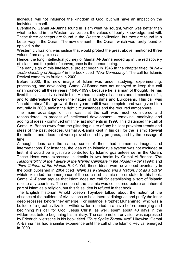individual will not influence the kingdom of God, but will have an impact on the individual himself.

Eventually, Gamal AI-Banna found in Islam what he sought, which was better than what he found in the Western civilization: the values of liberty, knowledge, and will. These three concepts are found in the Western civilization, but they are found in a better way in the Quran. The new element in the Quran, which was rarely found or applied in the

Western civilization, was justice that would protect the great above mentioned three values from any excess.

Hence, the long intellectual journey of Gamal Al-Banna ended up in the rediscovery of Islam, and the point of convergence is the human being.

The early sign of this intellectual project began in 1946 in the chapter titled *"A New Understanding of Religion"* in the book titled *"New Democracy".* The call for Islamic Revival came to its fruition in 2000.

Before 2000, this new image of Islam was under studying, experimenting, processing, and developing. Gamal AI-Banna was not annoyed to keep this call unannounced all these years (1946-1999), because he is a man of thought. He has lived this call as it lives inside him. He had to study all aspects and dimensions of it, and to differentiate between the nature of Muslims and Europeans. This call was "an old embryo" that grew all these years until it was complete and was given birth naturally in 2000, amidst the right circumstances and the required atmosphere.

The main advantage of this was that the call was much considered and reconsidered. Its process of intellectual development - removing, modifying and adding of ideas - continued until the last moments in 1999. This distanced the call of Gamal Al-Banna away from the glittering allure of any brilliant prevalent trends and ideas of the past decades. Gamal Al-Banna kept in his call for the Islamic Revival the notions and ideas that were proved sound by progress, and by the passage of time.

Although ideas are the same, some of them had numerous images and interpretations. For instance, the idea of an Islamic rule system was not excluded at first, if it would be a just rule controlled by Islamic guarantees set in the Quran. These ideas were expressed in details in two books by Gamal Al-Banna: *"The Responsibility of the Failure of the Islamic Caliphate in the Modern Age"* (1994) and *"Five Criteria of the Islamic Rule".* Yet, these ideas were developed eventually in the book published in 2004 titled *"Islam as a Religion and a Nation, not as a State"* which excluded the emergence of the so-called Islamic rule or state. In this book, Gamal Al-Banna argues that Islam does not call for establishing a sort of 'Islamic rule' to any countries. The notion of the Islamic was considered before an inherent part of Islam as a religion, but this false idea is refuted in that book.

The English historian Arnold Joseph Toynbee talked about the notion of the absence of the builders of civilizations to hold internal dialogues and purify the inner deep recesses before they emerge. For instance, Prophet Muhammad, who was a builder of a great civilization, withdrew for a period in a cave before emerging and beginning his call for God. Jesus Christ, as well, spent about 40 days in the wilderness before beginning his ministry. The same notion or vision was expressed by Friedrich Nietzsche in his book titled *"Thus Spoke Zarathustra".* Likewise, Gamal Al-Banna has had a similar experience until the call of the Islamic Revival emerged in 2000.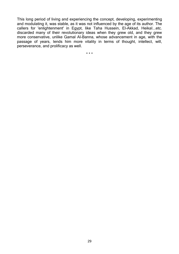This long period of living and experiencing the concept, developing, experimenting and modulating it, was stable, as it was not influenced by the age of its author. The callers for 'enlightenment' in Egypt, like Taha Hussein, El-Akkad, HeikaI...etc. discarded many of their revolutionary ideas when they grew old, and they grew more conservative, unlike Gamal Al-Banna, whose advancement in age, with the passage of years, lends him more vitality in terms of thought, intellect, will, perseverance, and prolificacy as well.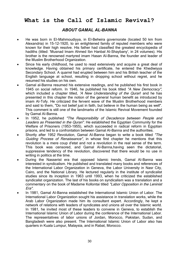## **What is the Call of Islamic Revival?**

#### *ABOUT GAMAL AL-BANNA*

- He was born in EI-Mahmoudiyya, in EI-Beheira governorate (located 50 km from Alexandria) in 15-12-1920, to an enlightened family of reputed members who were known for their high resolve. His father had classified the greatest encyclopedia of hadiths (titled: 'Musnad Imam Ahmed Ibn Hanbal AI-Shaybany', in 24 volumes). His brother is the renowned martyred imam Hasan AI-Banna, the founder and leader of the Muslim Brotherhood Organization.
- Since his early childhood, he used to read extensively and acquire a great deal of knowledge. Having obtained his primary certificate, he entered the Khediwiyya Secondary School. A quarrel had erupted between him and his British teacher of the English language at school, resulting in dropping school without regret, and he resumed his studies on his own.
- Gamal al-Banna resumed his extensive readings, and he published his first book in 1945 on social reform. In 1946, he published his book titled *"A New Democracy",*  which included a chapter titled, *'A New Understanding of the Quran*' and he has presented in this chapter the notion of the general human benefit as introduced by imam AI-Tofy. He criticized the fervent wave of the Muslim Brotherhood members and said to them, "Do not belief just in faith, but believe in the human being as well". This comment is still one of the landmarks of the Islamic Revival Movement founded by Gamal AI-Banna.
- In 1952, he published *"The Responsibility of Decadence between People and Leaders as Presented in the Quran".* He established the Egyptian Community for the Welfare of Prisoners (1953-1955), which succeeded in radical reform in Egyptian prisons, and led to a confrontation between Gamal AI-Banna and the authorities.
- Shortly after 1952 Revolution, Gamal AI-Banna began to write a book titled *"The Guiding Process of Renaissance",* in whose first chapter he mentions that this revolution is a mere coup d'etat and not a revolution in the real sense of the term. This book was censored, and Gamal AI-Banna,having seen the dictatorial, suppressive tendency of the revolution, discovered that there would be no use in writing in politics at the time.
- During the Nasserist era that opposed Islamic trends, Gamal AI-Banna was interested in syndicalism. He published and translated many books and references of the International Labor Organization in Geneva, the Labor University in Nasr City, Cairo, and the National Library. He lectured regularly in the institute of syndicalist studies since its inception in 1963 until 1993, when he criticized the established syndicalist organization. The last of his books on syndicalism was a translation and a commentary on the book of Madame Kollontai titled *"Labor Opposition in the Leninist Era".*
- In 1981, Gamal AI-Banna established the International Islamic Union of Labor. The International Labor Organization sought his assistance in translation works, while the Arab Labor Organization made him its consultant expert. Accordingly, he kept a network of relations with leaders of syndicates and unions all over the Islamic world. In 1981, he invited most of these leaders to convene in Geneva, to establish the International Islamic Union of Labor during the conference of the International Labor. The representatives of labor unions of Jordan, Morocco, Pakistan, Sudan, and Bangladesh were also present. The International Islamic Union of Labor also has quarters in Kuala Lumpur, Malaysia, and in Rabat, Morocco.